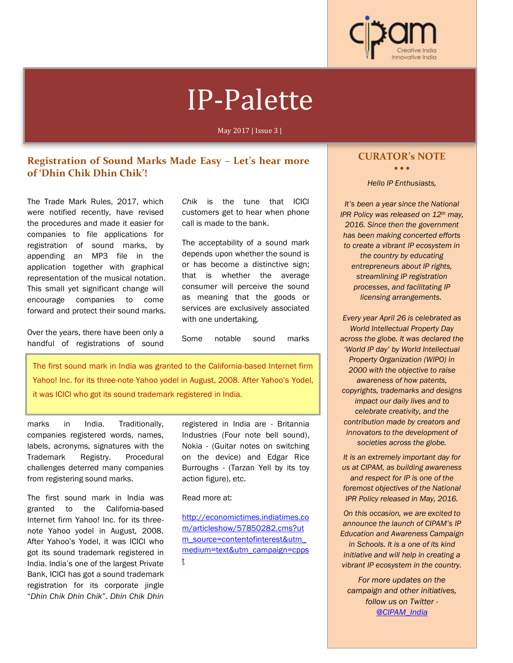

# IP-Palette

May 2017 | Issue 3 |

# **Registration of Sound Marks Made Easy – Let's hear more of 'Dhin Chik Dhin Chik'!**

The Trade Mark Rules, 2017, which were notified recently, have revised the procedures and made it easier for companies to file applications for registration of sound marks, by appending an MP3 file in the application together with graphical representation of the musical notation. This small yet significant change will encourage companies to come forward and protect their sound marks.

Over the years, there have been only a handful of registrations of sound *Chik* is the tune that ICICI customers get to hear when phone call is made to the bank.

The acceptability of a sound mark depends upon whether the sound is or has become a distinctive sign; that is whether the average consumer will perceive the sound as meaning that the goods or services are exclusively associated with one undertaking.

Some notable sound marks

The first sound mark in India was granted to the California-based Internet firm Yahoo! Inc. for its three-note Yahoo yodel in August, 2008. After Yahoo's Yodel, it was ICICI who got its sound trademark registered in India.

marks in India. Traditionally, companies registered words, names, labels, acronyms, signatures with the Trademark Registry. Procedural challenges deterred many companies from registering sound marks.

The first sound mark in India was granted to the California-based Internet firm Yahoo! Inc. for its threenote Yahoo yodel in August, 2008. After Yahoo's Yodel, it was ICICI who got its sound trademark registered in India. India's one of the largest Private Bank, ICICI has got a sound trademark registration for its corporate jingle "*Dhin Chik Dhin Chik*". *Dhin Chik Dhin* 

registered in India are - Britannia Industries (Four note bell sound), Nokia - (Guitar notes on switching on the device) and Edgar Rice Burroughs - (Tarzan Yell by its toy action figure), etc.

#### Read more at:

http://economictimes.indiatimes.co m/articleshow/57850282.cms?ut m\_source=contentofinterest&utm\_ medium=text&utm\_campaign=cpps t

## **CURATOR's NOTE**

• • •

#### *Hello IP Enthusiasts,*

*It's been a year since the National IPR Policy was released on 12th may, 2016. Since then the government has been making concerted efforts to create a vibrant IP ecosystem in the country by educating entrepreneurs about IP rights, streamlining IP registration processes, and facilitating IP licensing arrangements.*

*Every year April 26 is celebrated as World Intellectual Property Day across the globe. It was declared the 'World IP day' by World Intellectual Property Organization (WIPO) in 2000 with the objective to raise awareness of how patents, copyrights, trademarks and designs impact our daily lives and to celebrate creativity, and the contribution made by creators and innovators to the development of societies across the globe.*

*It is an extremely important day for us at CIPAM, as building awareness and respect for IP is one of the foremost objectives of the National IPR Policy released in May, 2016.*

*On this occasion, we are excited to announce the launch of CIPAM's IP Education and Awareness Campaign in Schools. It is a one of its kind initiative and will help in creating a vibrant IP ecosystem in the country.*

*For more updates on the campaign and other initiatives, follow us on Twitter - @CIPAM\_India*